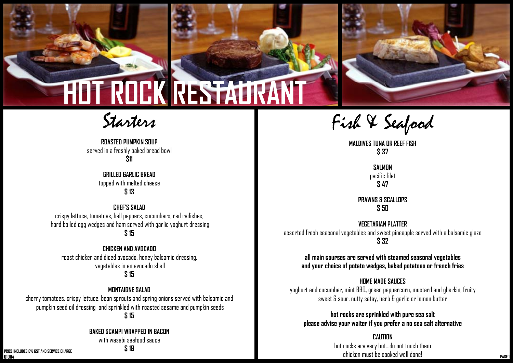

## Starters **HOT ROCK RESTAURANT**

**ROASTED PUMPKIN SOUP** served in a freshly baked bread bowl **\$11**

> **GRILLED GARLIC BREAD** topped with melted cheese **\$ 13**

**CHEF'S SALAD** crispy lettuce, tomatoes, bell peppers, cucumbers, red radishes, hard boiled egg wedges and ham served with garlic yoghurt dressing **\$ 15**

**CHICKEN AND AVOCADO** roast chicken and diced avocado, honey balsamic dressing, vegetables in an avocado shell **\$ 15** 

### **MONTAIGNE SALAD**

cherry tomatoes, crispy lettuce, bean sprouts and spring onions served with balsamic and pumpkin seed oil dressing and sprinkled with roasted sesame and pumpkin seeds **\$ 15**

**BAKED SCAMPI WRAPPED IN BACON** 

with wasabi seafood sauce **\$ 19**

Fish & Seafood

**MALDIVES TUNA OR REEF FISH \$ 37**

**SALMON** pacific filet **\$ 47**

**PRAWNS & SCALLOPS \$ 50**

**VEGETARIAN PLATTER** assorted fresh seasonal vegetables and sweet pineapple served with a balsamic glaze **\$ 32**

**all main courses are served with steamed seasonal vegetables and your choice of potato wedges, baked potatoes or french fries** 

### **HOME MADE SAUCES**

yoghurt and cucumber, mint BBQ, green peppercorn, mustard and gherkin, fruity sweet & sour, nutty satay, herb & garlic or lemon butter

**hot rocks are sprinkled with pure sea salt please advise your waiter if you prefer a no sea salt alternative** 

**CAUTION**hot rocks are very hot...do not touch them chicken must be cooked well done! **010114 CITILISE OF COURCE IS AN OUTPROOF OF COURCE IS A PAGE 1 AND AN OUTPROOF OF COURCE IS AN OUTPROOF OF COURCE IS A PAGE 1** 

**PRICE INCLUDES 8% GST AND SERVICE CHARGE**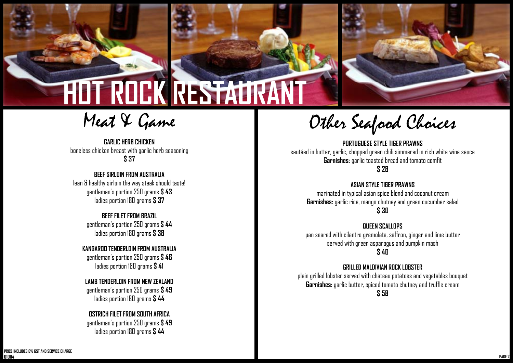

# **HOT ROCK RESTAURAN**

Meat & Game

**GARLIC HERB CHICKEN** boneless chicken breast with garlic herb seasoning **\$ 37**

### **BEEF SIRLOIN FROM AUSTRALIA**

lean & healthy sirloin the way steak should taste! gentleman's portion 250 grams **\$ 43**  ladies portion 180 grams **\$ 37**

### **BEEF FILET FROM BRAZIL**

gentleman's portion 250 grams **\$ 44**  ladies portion 180 grams **\$ 38**

**KANGAROO TENDERLOIN FROM AUSTRALIA** gentleman's portion 250 grams **\$ 46** ladies portion 180 grams **\$ 41**

### **LAMB TENDERLOIN FROM NEW ZEALAND**

gentleman's portion 250 grams **\$ 49** ladies portion 180 grams **\$ 44**

### **OSTRICH FILET FROM SOUTH AFRICA**

gentleman's portion 250 grams **\$ 49** ladies portion 180 grams **\$ 44**

Other Seafood Choices

**PORTUGUESE STYLE TIGER PRAWNS** sautéed in butter, garlic, chopped green chili simmered in rich white wine sauce **Garnishes:** garlic toasted bread and tomato comfit **\$ 28**

### **ASIAN STYLE TIGER PRAWNS**

marinated in typical asian spice blend and coconut cream **Garnishes:** garlic rice, mango chutney and green cucumber salad **\$ 30**

#### **QUEEN SCALLOPS**

pan seared with cilantro gremolata, saffron, ginger and lime butter served with green asparagus and pumpkin mash **\$ 40**

### **GRILLED MALDIVIAN ROCK LOBSTER**

plain grilled lobster served with chateau potatoes and vegetables bouquet **Garnishes:** garlic butter, spiced tomato chutney and truffle cream **\$ 58**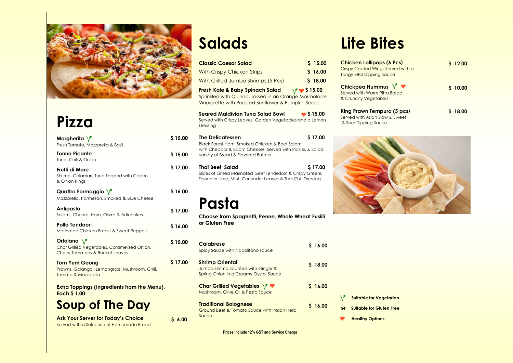

### **Pizza**

Served with a Selection of Homemade Bread

## **Salads**

Served with Warm Pitta & Crunchy Vegetables

### **King Prawn Tempure**

Served with Asian Slaw & Sour Dipping Sauce



| Margherita $\sqrt{\ }$<br>Fresh Tomato, Mozzarella & Basil                                               | \$15.00 |
|----------------------------------------------------------------------------------------------------------|---------|
| <b>Tonno Picante</b><br>Tuna, Chili & Onion                                                              | \$15.00 |
| Frutti di Mare<br>Shrimp, Calamari, Tuna Topped with Capers<br>& Onion Rings                             | \$17.00 |
| Quattro Formaggio $\sqrt{\ }$<br>Mozzarella, Parmesan, Smoked & Blue Cheese                              | \$16.00 |
| <b>Antipasto</b><br>Salami, Chorizo, Ham, Olives & Artichokes                                            | \$17.00 |
| <b>Pollo Tandoori</b><br>Marinated Chicken Breast & Sweet Peppers                                        | \$16.00 |
| Ortolano $\sqrt{ }$<br>Char Grilled Vegetables, Caramelized Onion,<br>Cherry Tomatoes & Rocket Leaves    | \$15.00 |
| <b>Tom Yum Goong</b><br>Prawns, Galangal, Lemongrass, Mushroom, Chili,<br><b>Tomato &amp; Mozzarella</b> | \$17.00 |
| <b>Extra Toppings (Ingredients from the Menu),</b><br><b>Each \$1.00</b>                                 |         |
| <b>Soup of The Day</b>                                                                                   |         |
| <b>Ask Your Server for Today's Choice</b>                                                                | 56.00   |

| <b>Classic Caesar Salad</b>                                                                                                                                                   | \$15.00           |
|-------------------------------------------------------------------------------------------------------------------------------------------------------------------------------|-------------------|
| <b>With Crispy Chicken Strips</b>                                                                                                                                             | \$16.00           |
| With Grilled Jumbo Shrimps (5 Pcs)                                                                                                                                            | \$18.00           |
| Fresh Kale & Baby Spinach Salad<br>Sprinkled with Quinoa, Tossed in an Orange Marmalade<br>Vinaigrette with Roasted Sunflower & Pumpkin Seeds                                 | $\sqrt{}$ \$15.00 |
| <b>Seared Maldivian Tuna Salad Bowl</b><br>Served with Crispy Leaves, Garden Vegetables and a Lemon<br>Dressing                                                               | $\bullet$ \$15.00 |
| <b>The Delicatessen</b><br>Black Forest Ham, Smoked Chicken & Beef Salami<br>with Cheddar & Edam Cheeses, Served with Pickles & Salad,<br>variety of Bread & Flavored Butters | \$17.00           |
| Thai Beef Salad<br>Slices of Grilled Marinated Beef Tenderloin & Crispy Greens<br>Tossed in Lime, Mint, Coriander Leaves & Thai Chili Dressing                                | \$17.00           |
| Pasta<br>Choose from Spaghetti, Penne, Whole Wheat Fusilli<br>or Gluten Free                                                                                                  |                   |
| <b>Calabrese</b><br>Spicy Sauce with Napolitano sauce                                                                                                                         | \$16.00           |
| <b>Shrimp Oriental</b><br>Jumbo Shrimp Sautéed with Ginger &<br>Spring Onion in a Creamy Oyster Sauce                                                                         | \$18.00           |
| <b>Char Grilled Vegetables <math>\sqrt{ }</math></b>                                                                                                                          | \$16.00           |

**Char Grilled Vegetables**  Mushroom, Olive Oil & Pesto Sauce

**Traditional Bolognese**  Ground Beef & Tomato Sauce with Italian Herb Sauce

## **Lite Bites**

### **Chicken Lollipops (4**

Crispy Coated Wings Se Tangy BBQ Dipping Sau

### **Chickpea Hummus**

| <b>Y</b> Suitable for Vege   |
|------------------------------|
| <b>GF</b> Suitable for Glute |
| <b>Healthy Options</b>       |

**Prices Include 12% GST and Service Charge** 

**\$ 16.00** 

| 6 Pcs)<br>erved with a<br>лсе | \$12.00 |
|-------------------------------|---------|
| $\mathbf{v}$<br>Bread         | \$10.00 |
| a (5 pcs)<br>& Sweet          | \$18.00 |

**I**derentian

**Example 1**